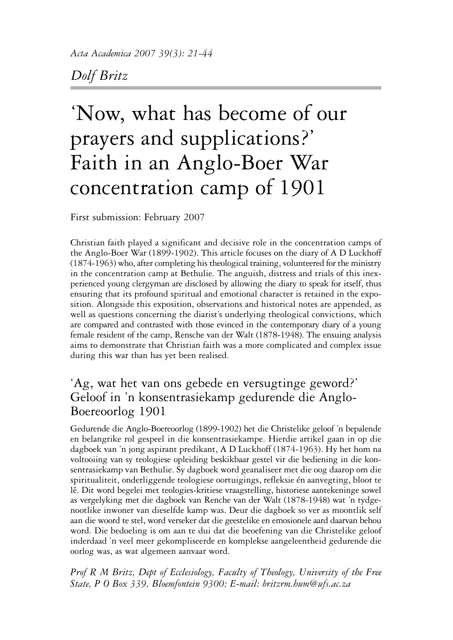# *Dolf Britz*

# 'Now, what has become of our prayers and supplications?' Faith in an Anglo-Boer War concentration camp of 1901

First submission: February 2007

Christian faith played a significant and decisive role in the concentration camps of the Anglo-Boer War (1899-1902). This article focuses on the diary of A D Luckhoff (1874-1963) who, after completing his theological training, volunteered for the ministry in the concentration camp at Bethulie. The anguish, distress and trials of this inexperienced young clergyman are disclosed by allowing the diary to speak for itself, thus ensuring that its profound spiritual and emotional character is retained in the exposition. Alongside this exposition, observations and historical notes are appended, as well as questions concerning the diarist's underlying theological convictions, which are compared and contrasted with those evinced in the contemporary diary of a young female resident of the camp, Rensche van der Walt (1878-1948). The ensuing analysis aims to demonstrate that Christian faith was a more complicated and complex issue during this war than has yet been realised.

## 'Ag, wat het van ons gebede en versugtinge geword?' Geloof in 'n konsentrasiekamp gedurende die Anglo-Boereoorlog 1901

Gedurende die Anglo-Boereoorlog (1899-1902) het die Christelike geloof 'n bepalende en belangrike rol gespeel in die konsentrasiekampe. Hierdie artikel gaan in op die dagboek van 'n jong aspirant predikant, A D Luckhoff (1874-1963). Hy het hom na voltooiing van sy teologiese opleiding beskikbaar gestel vir die bediening in die konsentrasiekamp van Bethulie. Sy dagboek word geanaliseer met die oog daarop om die spiritualiteit, onderliggende teologiese oortuigings, refleksie én aanvegting, bloot te lê. Dit word begelei met teologies-kritiese vraagstelling, historiese aantekeninge sowel as vergelyking met die dagboek van Renche van der Walt (1878-1948) wat 'n tydgenootlike inwoner van dieselfde kamp was. Deur die dagboek so ver as moontlik self aan die woord te stel, word verseker dat die geestelike en emosionele aard daarvan behou word. Die bedoeling is om aan te dui dat die beoefening van die Christelike geloof inderdaad 'n veel meer gekompliseerde en komplekse aangeleentheid gedurende die oorlog was, as wat algemeen aanvaar word.

*Prof R M Britz, Dept of Ecclesiology, Faculty of Theology, University of the Free State, P O Box 339, Bloemfontein 9300; E-mail: britzrm.hum@ufs.ac.za*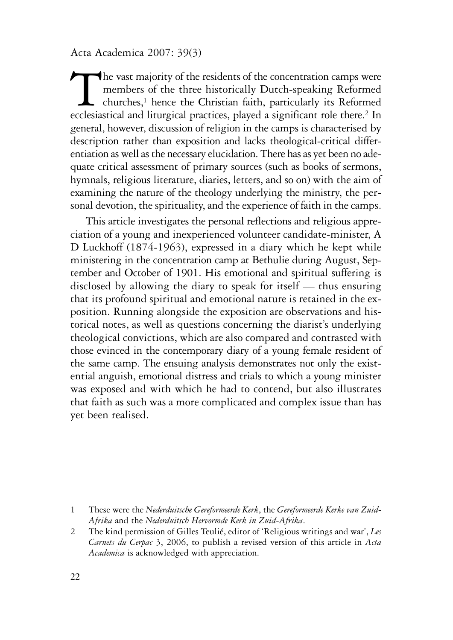The vast majority of the residents of the concentration camps were<br>members of the three historically Dutch-speaking Reformed<br>ecclesiastical and liturgical practices, played a significant role there.<sup>2</sup> In members of the three historically Dutch-speaking Reformed  $\Box$  churches,<sup>1</sup> hence the Christian faith, particularly its Reformed ecclesiastical and liturgical practices, played a significant role there.<sup>2</sup> In general, however, discussion of religion in the camps is characterised by description rather than exposition and lacks theological-critical differentiation as well as the necessary elucidation. There has as yet been no adequate critical assessment of primary sources (such as books of sermons, hymnals, religious literature, diaries, letters, and so on) with the aim of examining the nature of the theology underlying the ministry, the personal devotion, the spirituality, and the experience of faith in the camps.

This article investigates the personal reflections and religious appreciation of a young and inexperienced volunteer candidate-minister, A D Luckhoff (1874-1963), expressed in a diary which he kept while ministering in the concentration camp at Bethulie during August, September and October of 1901. His emotional and spiritual suffering is disclosed by allowing the diary to speak for itself — thus ensuring that its profound spiritual and emotional nature is retained in the exposition. Running alongside the exposition are observations and historical notes, as well as questions concerning the diarist's underlying theological convictions, which are also compared and contrasted with those evinced in the contemporary diary of a young female resident of the same camp. The ensuing analysis demonstrates not only the existential anguish, emotional distress and trials to which a young minister was exposed and with which he had to contend, but also illustrates that faith as such was a more complicated and complex issue than has yet been realised.

<sup>1</sup> These were the *Nederduitsche Gereformeerde Kerk*, the *Gereformeerde Kerke van Zuid-Afrika* and the *Nederduitsch Hervormde Kerk in Zuid-Afrika*.

<sup>2</sup> The kind permission of Gilles Teulié, editor of 'Religious writings and war', *Les Carnets du Cerpac* 3, 2006, to publish a revised version of this article in *Acta Academica* is acknowledged with appreciation.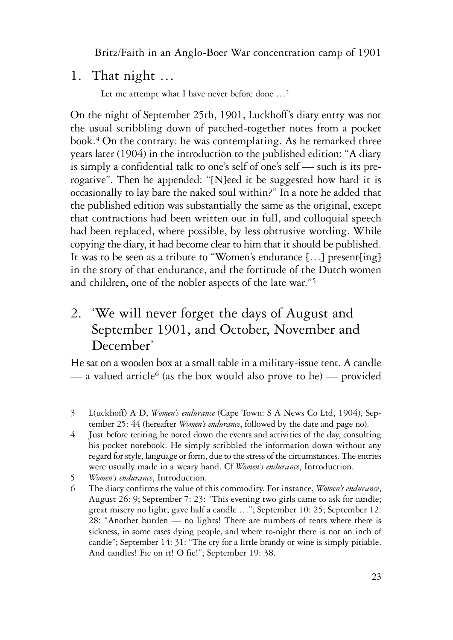## 1. That night …

Let me attempt what I have never before done …3

On the night of September 25th, 1901, Luckhoff's diary entry was not the usual scribbling down of patched-together notes from a pocket book.4 On the contrary: he was contemplating. As he remarked three years later (1904) in the introduction to the published edition: "A diary is simply a confidential talk to one's self of one's self — such is its prerogative". Then he appended: "[N]eed it be suggested how hard it is occasionally to lay bare the naked soul within?" In a note he added that the published edition was substantially the same as the original, except that contractions had been written out in full, and colloquial speech had been replaced, where possible, by less obtrusive wording. While copying the diary, it had become clear to him that it should be published. It was to be seen as a tribute to "Women's endurance [...] present[ing] in the story of that endurance, and the fortitude of the Dutch women and children, one of the nobler aspects of the late war."5

# 2. 'We will never forget the days of August and September 1901, and October, November and December'

He sat on a wooden box at a small table in a military-issue tent. A candle — a valued article<sup>6</sup> (as the box would also prove to be) — provided

- 3 L(uckhoff) A D, *Women's endurance* (Cape Town: S A News Co Ltd, 1904), September 25: 44 (hereafter *Women's endurance*, followed by the date and page no).
- 4 Just before retiring he noted down the events and activities of the day, consulting his pocket notebook. He simply scribbled the information down without any regard for style, language or form, due to the stress of the circumstances. The entries were usually made in a weary hand. Cf *Women's endurance*, Introduction.
- 5 *Women's endurance*, Introduction.
- 6 The diary confirms the value of this commodity. For instance, *Women's endurance*, August 26: 9; September 7: 23: "This evening two girls came to ask for candle; great misery no light; gave half a candle …"; September 10: 25; September 12: 28: "Another burden — no lights! There are numbers of tents where there is sickness, in some cases dying people, and where to-night there is not an inch of candle"; September 14: 31: "The cry for a little brandy or wine is simply pitiable. And candles! Fie on it! O fie!"; September 19: 38.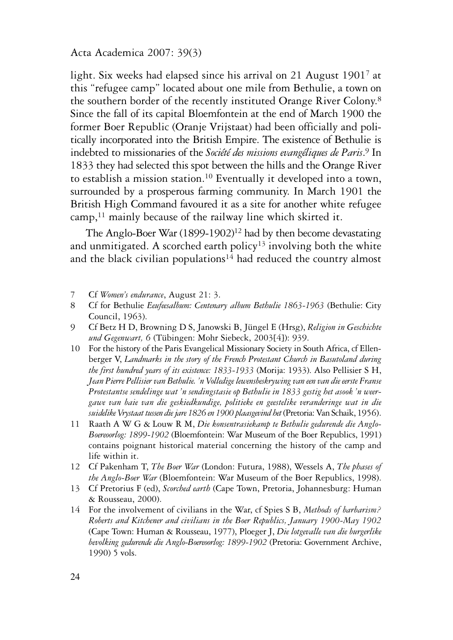light. Six weeks had elapsed since his arrival on 21 August 19017 at this "refugee camp" located about one mile from Bethulie, a town on the southern border of the recently instituted Orange River Colony.8 Since the fall of its capital Bloemfontein at the end of March 1900 the former Boer Republic (Oranje Vrijstaat) had been officially and politically incorporated into the British Empire. The existence of Bethulie is indebted to missionaries of the *Société des missions evangéliques de Paris*. <sup>9</sup> In 1833 they had selected this spot between the hills and the Orange River to establish a mission station.10 Eventually it developed into a town, surrounded by a prosperous farming community. In March 1901 the British High Command favoured it as a site for another white refugee camp,<sup>11</sup> mainly because of the railway line which skirted it.

The Anglo-Boer War  $(1899-1902)^{12}$  had by then become devastating and unmitigated. A scorched earth policy<sup>13</sup> involving both the white and the black civilian populations<sup>14</sup> had reduced the country almost

7 Cf *Women's endurance*, August 21: 3.

- 8 Cf for Bethulie *Eeufeesalbum: Centenary album Bethulie 1863-1963* (Bethulie: City Council, 1963).
- 9 Cf Betz H D, Browning D S, Janowski B, Jüngel E (Hrsg), *Religion in Geschichte und Gegenwart, 6* (Tübingen: Mohr Siebeck, 2003[4]): 939.
- 10 For the history of the Paris Evangelical Missionary Society in South Africa, cf Ellenberger V, *Landmarks in the story of the French Protestant Church in Basutoland during the first hundred years of its existence: 1833-1933* (Morija: 1933). Also Pellisier S H, *Jean Pierre Pellisier van Bethulie. 'n Volledige lewensbeskrywing van een van die eerste Franse Protestantse sendelinge wat 'n sendingstasie op Bethulie in 1833 gestig het asook 'n weergawe van baie van die geskiedkundige, politieke en geestelike veranderinge wat in die suidelike Vrystaat tussen die jare 1826 en 1900 plaasgevind het* (Pretoria: Van Schaik, 1956).
- 11 Raath A W G & Louw R M, *Die konsentrasiekamp te Bethulie gedurende die Anglo-Boereoorlog: 1899-1902* (Bloemfontein: War Museum of the Boer Republics, 1991) contains poignant historical material concerning the history of the camp and life within it.
- 12 Cf Pakenham T, *The Boer War* (London: Futura, 1988), Wessels A, *The phases of the Anglo-Boer War* (Bloemfontein: War Museum of the Boer Republics, 1998).
- 13 Cf Pretorius F (ed), *Scorched earth* (Cape Town, Pretoria, Johannesburg: Human & Rousseau, 2000).
- 14 For the involvement of civilians in the War, cf Spies S B, *Methods of barbarism? Roberts and Kitchener and civilians in the Boer Republics, January 1900-May 1902* (Cape Town: Human & Rousseau, 1977), Ploeger J, *Die lotgevalle van die burgerlike bevolking gedurende die Anglo-Boereoorlog: 1899-1902* (Pretoria: Government Archive, 1990) 5 vols.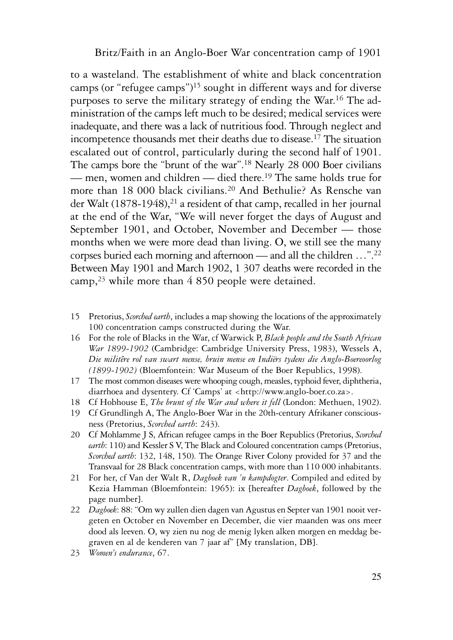to a wasteland. The establishment of white and black concentration camps (or "refugee camps")15 sought in different ways and for diverse purposes to serve the military strategy of ending the War.16 The administration of the camps left much to be desired; medical services were inadequate, and there was a lack of nutritious food. Through neglect and incompetence thousands met their deaths due to disease.17 The situation escalated out of control, particularly during the second half of 1901. The camps bore the "brunt of the war".<sup>18</sup> Nearly 28 000 Boer civilians — men, women and children — died there.19 The same holds true for more than 18 000 black civilians.<sup>20</sup> And Bethulie? As Rensche van der Walt (1878-1948),<sup>21</sup> a resident of that camp, recalled in her journal at the end of the War, "We will never forget the days of August and September 1901, and October, November and December — those months when we were more dead than living. O, we still see the many corpses buried each morning and afternoon — and all the children …".22 Between May 1901 and March 1902, 1 307 deaths were recorded in the camp,23 while more than 4 850 people were detained.

- 15 Pretorius, *Scorched earth*, includes a map showing the locations of the approximately 100 concentration camps constructed during the War.
- 16 For the role of Blacks in the War, cf Warwick P, *Black people and the South African War 1899-1902* (Cambridge: Cambridge University Press, 1983), Wessels A, *Die militêre rol van swart mense, bruin mense en Indiërs tydens die Anglo-Boereoorlog (1899-1902)* (Bloemfontein: War Museum of the Boer Republics, 1998).
- 17 The most common diseases were whooping cough, measles, typhoid fever, diphtheria, diarrhoea and dysentery. Cf 'Camps' at <http://www.anglo-boer.co.za>.
- 18 Cf Hobhouse E, *The brunt of the War and where it fell* (London: Methuen, 1902).
- 19 Cf Grundlingh A, The Anglo-Boer War in the 20th-century Afrikaner consciousness (Pretorius, *Scorched earth*: 243).
- 20 Cf Mohlamme J S, African refugee camps in the Boer Republics (Pretorius, *Scorched earth*: 110) and Kessler S V, The Black and Coloured concentration camps (Pretorius, *Scorched earth*: 132, 148, 150). The Orange River Colony provided for 37 and the Transvaal for 28 Black concentration camps, with more than 110 000 inhabitants.
- 21 For her, cf Van der Walt R, *Dagboek van 'n kampdogter*. Compiled and edited by Kezia Hamman (Bloemfontein: 1965): ix [hereafter *Dagboek*, followed by the page number].
- 22 *Dagboek*: 88: "Om wy zullen dien dagen van Agustus en Septer van 1901 nooit vergeten en October en November en December, die vier maanden was ons meer dood als leeven. O, wy zien nu nog de menig lyken alken morgen en meddag begraven en al de kenderen van 7 jaar af" [My translation, DB].
- 23 *Women's endurance*, 67.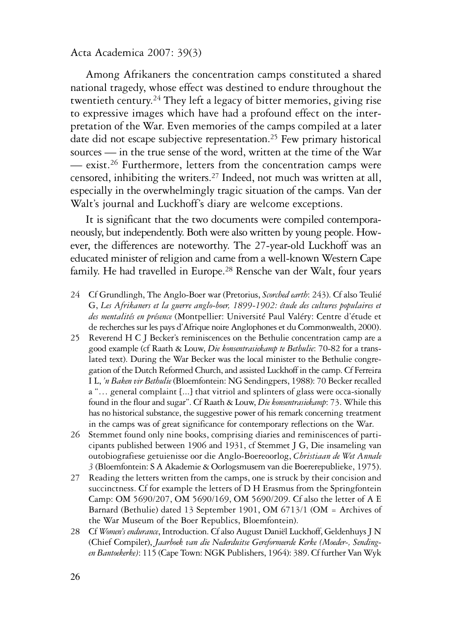Among Afrikaners the concentration camps constituted a shared national tragedy, whose effect was destined to endure throughout the twentieth century.24 They left a legacy of bitter memories, giving rise to expressive images which have had a profound effect on the interpretation of the War. Even memories of the camps compiled at a later date did not escape subjective representation.25 Few primary historical sources — in the true sense of the word, written at the time of the War — exist.26 Furthermore, letters from the concentration camps were censored, inhibiting the writers.27 Indeed, not much was written at all, especially in the overwhelmingly tragic situation of the camps. Van der Walt's journal and Luckhoff's diary are welcome exceptions.

It is significant that the two documents were compiled contemporaneously, but independently. Both were also written by young people. However, the differences are noteworthy. The 27-year-old Luckhoff was an educated minister of religion and came from a well-known Western Cape family. He had travelled in Europe.<sup>28</sup> Rensche van der Walt, four years

- 24 Cf Grundlingh, The Anglo-Boer war (Pretorius, *Scorched earth*: 243). Cf also Teulié G, *Les Afrikaners et la guerre anglo-boer, 1899-1902: étude des cultures populaires et des mentalités en présence* (Montpellier: Université Paul Valéry: Centre d'étude et de recherches sur les pays d'Afrique noire Anglophones et du Commonwealth, 2000).
- 25 Reverend H C J Becker's reminiscences on the Bethulie concentration camp are a good example (cf Raath & Louw, *Die konsentrasiekamp te Bethulie*: 70-82 for a translated text). During the War Becker was the local minister to the Bethulie congregation of the Dutch Reformed Church, and assisted Luckhoff in the camp. Cf Ferreira I L, *'n Baken vir Bethulie* (Bloemfontein: NG Sendingpers, 1988): 70 Becker recalled a "… general complaint [...] that vitriol and splinters of glass were occa-sionally found in the flour and sugar". Cf Raath & Louw, *Die konsentrasiekamp*: 73. While this has no historical substance, the suggestive power of his remark concerning treatment in the camps was of great significance for contemporary reflections on the War.
- 26 Stemmet found only nine books, comprising diaries and reminiscences of participants published between 1906 and 1931, cf Stemmet J G, Die insameling van outobiografiese getuienisse oor die Anglo-Boereoorlog, *Christiaan de Wet Annale 3* (Bloemfontein: S A Akademie & Oorlogsmusem van die Boererepublieke, 1975).
- 27 Reading the letters written from the camps, one is struck by their concision and succinctness. Cf for example the letters of D H Erasmus from the Springfontein Camp: OM 5690/207, OM 5690/169, OM 5690/209. Cf also the letter of A E Barnard (Bethulie) dated 13 September 1901, OM 6713/1 (OM = Archives of the War Museum of the Boer Republics, Bloemfontein).
- 28 Cf *Women's endurance*, Introduction. Cf also August Daniël Luckhoff, Geldenhuys J N (Chief Compiler), *Jaarboek van die Nederduitse Gereformeerde Kerke (Moeder-, Sendingen Bantoekerke)*: 115 (Cape Town: NGK Publishers, 1964): 389. Cf further Van Wyk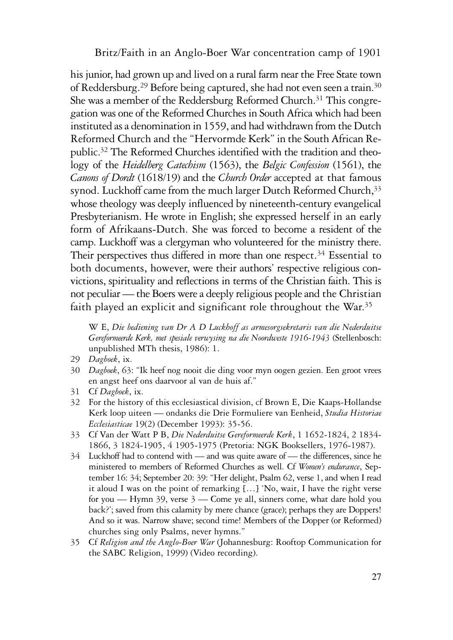his junior, had grown up and lived on a rural farm near the Free State town of Reddersburg.29 Before being captured, she had not even seen a train.30 She was a member of the Reddersburg Reformed Church.<sup>31</sup> This congregation was one of the Reformed Churches in South Africa which had been instituted as a denomination in 1559, and had withdrawn from the Dutch Reformed Church and the "Hervormde Kerk" in the South African Republic.32 The Reformed Churches identified with the tradition and theology of the *Heidelberg Catechism* (1563), the *Belgic Confession* (1561), the *Canons of Dordt* (1618/19) and the *Church Order* accepted at that famous synod. Luckhoff came from the much larger Dutch Reformed Church, 33 whose theology was deeply influenced by nineteenth-century evangelical Presbyterianism. He wrote in English; she expressed herself in an early form of Afrikaans-Dutch. She was forced to become a resident of the camp. Luckhoff was a clergyman who volunteered for the ministry there. Their perspectives thus differed in more than one respect.<sup>34</sup> Essential to both documents, however, were their authors' respective religious convictions, spirituality and reflections in terms of the Christian faith. This is not peculiar — the Boers were a deeply religious people and the Christian faith played an explicit and significant role throughout the War.<sup>35</sup>

W E, *Die bediening van Dr A D Luckhoff as armesorgsekretaris van die Nederduitse Gereformeerde Kerk, met spesiale verwysing na die Noordweste 1916-1943* (Stellenbosch: unpublished MTh thesis, 1986): 1.

- 29 *Dagboek*, ix.
- 30 *Dagboek*, 63: "Ik heef nog nooit die ding voor myn oogen gezien. Een groot vrees en angst heef ons daarvoor al van de huis af."
- 31 Cf *Dagboek*, ix.
- 32 For the history of this ecclesiastical division, cf Brown E, Die Kaaps-Hollandse Kerk loop uiteen — ondanks die Drie Formuliere van Eenheid, *Studia Historiae Ecclesiasticae* 19(2) (December 1993): 35-56.
- 33 Cf Van der Watt P B, *Die Nederduitse Gereformeerde Kerk*, 1 1652-1824, 2 1834- 1866, 3 1824-1905, 4 1905-1975 (Pretoria: NGK Booksellers, 1976-1987).
- 34 Luckhoff had to contend with and was quite aware of the differences, since he ministered to members of Reformed Churches as well. Cf *Women's endurance*, September 16: 34; September 20: 39: "Her delight, Psalm 62, verse 1, and when I read it aloud I was on the point of remarking […] 'No, wait, I have the right verse for you — Hymn 39, verse 3 — Come ye all, sinners come, what dare hold you back?'; saved from this calamity by mere chance (grace); perhaps they are Doppers! And so it was. Narrow shave; second time! Members of the Dopper (or Reformed) churches sing only Psalms, never hymns."
- 35 Cf *Religion and the Anglo-Boer War* (Johannesburg: Rooftop Communication for the SABC Religion, 1999) (Video recording).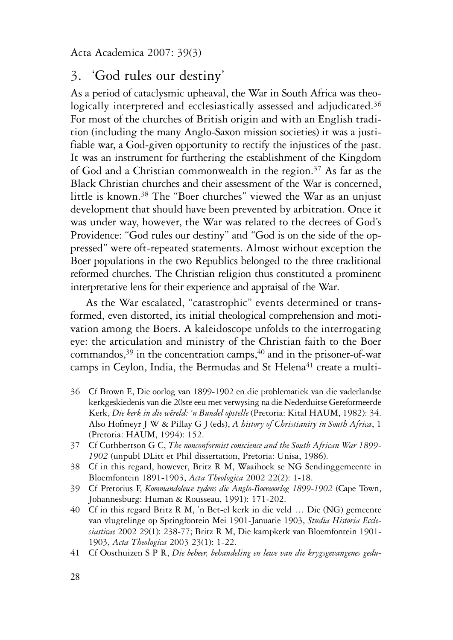## 3. 'God rules our destiny'

As a period of cataclysmic upheaval, the War in South Africa was theologically interpreted and ecclesiastically assessed and adjudicated.<sup>36</sup> For most of the churches of British origin and with an English tradition (including the many Anglo-Saxon mission societies) it was a justifiable war, a God-given opportunity to rectify the injustices of the past. It was an instrument for furthering the establishment of the Kingdom of God and a Christian commonwealth in the region.37 As far as the Black Christian churches and their assessment of the War is concerned, little is known.<sup>38</sup> The "Boer churches" viewed the War as an unjust development that should have been prevented by arbitration. Once it was under way, however, the War was related to the decrees of God's Providence: "God rules our destiny" and "God is on the side of the oppressed" were oft-repeated statements. Almost without exception the Boer populations in the two Republics belonged to the three traditional reformed churches. The Christian religion thus constituted a prominent interpretative lens for their experience and appraisal of the War.

As the War escalated, "catastrophic" events determined or transformed, even distorted, its initial theological comprehension and motivation among the Boers. A kaleidoscope unfolds to the interrogating eye: the articulation and ministry of the Christian faith to the Boer commandos, $39$  in the concentration camps,  $40$  and in the prisoner-of-war camps in Ceylon, India, the Bermudas and St Helena<sup>41</sup> create a multi-

- 36 Cf Brown E, Die oorlog van 1899-1902 en die problematiek van die vaderlandse kerkgeskiedenis van die 20ste eeu met verwysing na die Nederduitse Gereformeerde Kerk, *Die kerk in die wêreld: 'n Bundel opstelle* (Pretoria: Kital HAUM, 1982): 34. Also Hofmeyr J W & Pillay G J (eds), *A history of Christianity in South Africa*, 1 (Pretoria: HAUM, 1994): 152.
- 37 Cf Cuthbertson G C, *The nonconformist conscience and the South African War 1899- 1902* (unpubl DLitt et Phil dissertation, Pretoria: Unisa, 1986).
- 38 Cf in this regard, however, Britz R M, Waaihoek se NG Sendinggemeente in Bloemfontein 1891-1903, *Acta Theologica* 2002 22(2): 1-18.
- 39 Cf Pretorius F, *Kommandolewe tydens die Anglo-Boereoorlog 1899-1902* (Cape Town, Johannesburg: Human & Rousseau, 1991): 171-202.
- 40 Cf in this regard Britz R M, 'n Bet-el kerk in die veld … Die (NG) gemeente van vlugtelinge op Springfontein Mei 1901-Januarie 1903, *Studia Historia Ecclesiasticae* 2002 29(1): 238-77; Britz R M, Die kampkerk van Bloemfontein 1901- 1903, *Acta Theologica* 2003 23(1): 1-22.
- 41 Cf Oosthuizen S P R, *Die beheer, behandeling en lewe van die krygsgevangenes gedu-*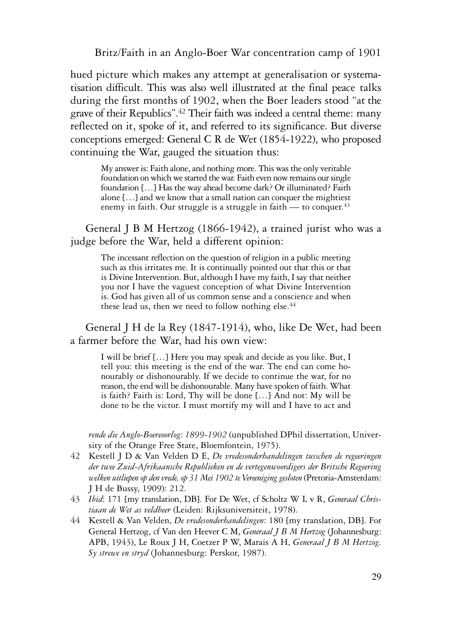hued picture which makes any attempt at generalisation or systematisation difficult. This was also well illustrated at the final peace talks during the first months of 1902, when the Boer leaders stood "at the grave of their Republics".42 Their faith was indeed a central theme: many reflected on it, spoke of it, and referred to its significance. But diverse conceptions emerged: General C R de Wet (1854-1922), who proposed continuing the War, gauged the situation thus:

My answer is: Faith alone, and nothing more. This was the only veritable foundation on which we started the war. Faith even now remains our single foundation […] Has the way ahead become dark? Or illuminated? Faith alone […] and we know that a small nation can conquer the mightiest enemy in faith. Our struggle is a struggle in faith — to conquer.  $43$ 

General J B M Hertzog (1866-1942), a trained jurist who was a judge before the War, held a different opinion:

The incessant reflection on the question of religion in a public meeting such as this irritates me. It is continually pointed out that this or that is Divine Intervention. But, although I have my faith, I say that neither you nor I have the vaguest conception of what Divine Intervention is. God has given all of us common sense and a conscience and when these lead us, then we need to follow nothing else.<sup>44</sup>

General J H de la Rey (1847-1914), who, like De Wet, had been a farmer before the War, had his own view:

I will be brief […] Here you may speak and decide as you like. But, I tell you: this meeting is the end of the war. The end can come honourably or dishonourably. If we decide to continue the war, for no reason, the end will be dishonourable. Many have spoken of faith. What is faith? Faith is: Lord, Thy will be done […] And not: My will be done to be the victor. I must mortify my will and I have to act and

*rende die Anglo-Boereoorlog: 1899-1902* (unpublished DPhil dissertation, University of the Orange Free State, Bloemfontein, 1975).

- 42 Kestell J D & Van Velden D E, *De vredesonderhandelingen tusschen de regeeringen der twee Zuid-Afrikaansche Republieken en de vertegenwoordigers der Britsche Regeering welken uitliepen op den vrede, op 31 Mei 1902 te Vereeniging gesloten* (Pretoria-Amsterdam: J H de Bussy, 1909): 212.
- 43 *Ibid*: 171 [my translation, DB]. For De Wet, cf Scholtz W L v R, *Generaal Christiaan de Wet as veldheer* (Leiden: Rijksuniversiteit, 1978).
- 44 Kestell & Van Velden, *De vredesonderhandelingen*: 180 [my translation, DB]. For General Hertzog, cf Van den Heever C M, *Generaal J B M Hertzog* (Johannesburg: APB, 1943), Le Roux J H, Coetzer P W, Marais A H, *Generaal J B M Hertzog. Sy strewe en stryd* (Johannesburg: Perskor, 1987).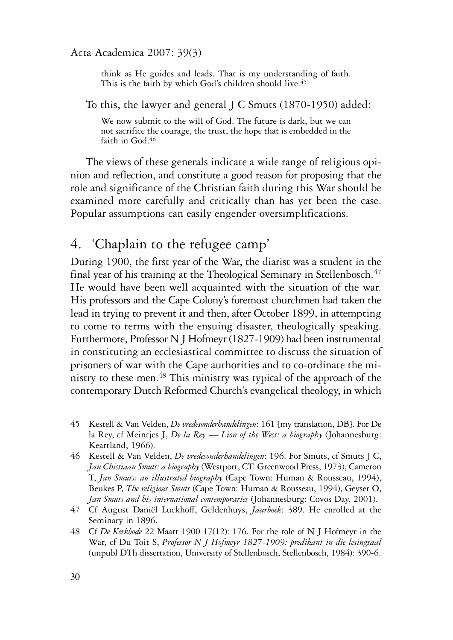think as He guides and leads. That is my understanding of faith. This is the faith by which God's children should live.<sup>45</sup>

To this, the lawyer and general J C Smuts (1870-1950) added:

We now submit to the will of God. The future is dark, but we can not sacrifice the courage, the trust, the hope that is embedded in the faith in God.<sup>46</sup>

The views of these generals indicate a wide range of religious opinion and reflection, and constitute a good reason for proposing that the role and significance of the Christian faith during this War should be examined more carefully and critically than has yet been the case. Popular assumptions can easily engender oversimplifications.

## 4. 'Chaplain to the refugee camp'

During 1900, the first year of the War, the diarist was a student in the final year of his training at the Theological Seminary in Stellenbosch. $47$ He would have been well acquainted with the situation of the war. His professors and the Cape Colony's foremost churchmen had taken the lead in trying to prevent it and then, after October 1899, in attempting to come to terms with the ensuing disaster, theologically speaking. Furthermore, Professor N J Hofmeyr (1827-1909) had been instrumental in constituting an ecclesiastical committee to discuss the situation of prisoners of war with the Cape authorities and to co-ordinate the ministry to these men.48 This ministry was typical of the approach of the contemporary Dutch Reformed Church's evangelical theology, in which

- 45 Kestell & Van Velden, *De vredesonderhandelingen*: 161 [my translation, DB]. For De la Rey, cf Meintjes J, *De la Rey — Lion of the West: a biography* (Johannesburg: Keartland, 1966).
- 46 Kestell & Van Velden, *De vredesonderhandelingen*: 196. For Smuts, cf Smuts J C, *Jan Chistiaan Smuts: a biography* (Westport, CT: Greenwood Press, 1973), Cameron T, *Jan Smuts: an illustrated biography* (Cape Town: Human & Rousseau, 1994), Beukes P, *The religious Smuts* (Cape Town: Human & Rousseau, 1994), Geyser O, *Jan Smuts and his international contemporaries* (Johannesburg: Covos Day, 2001).
- 47 Cf August Daniël Luckhoff, Geldenhuys, *Jaarboek*: 389. He enrolled at the Seminary in 1896.
- 48 Cf *De Kerkbode* 22 Maart 1900 17(12): 176. For the role of N J Hofmeyr in the War, cf Du Toit S, *Professor N J Hofmeyr 1827-1909: predikant in die lesingsaal* (unpubl DTh dissertation, University of Stellenbosch, Stellenbosch, 1984): 390-6.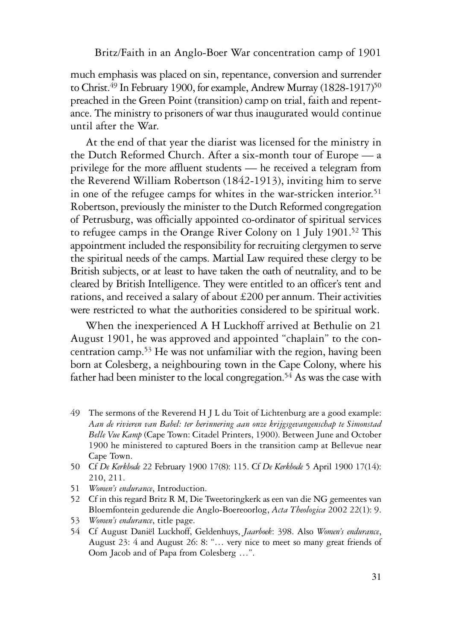much emphasis was placed on sin, repentance, conversion and surrender to Christ.<sup>49</sup> In February 1900, for example, Andrew Murray (1828-1917)<sup>50</sup> preached in the Green Point (transition) camp on trial, faith and repentance. The ministry to prisoners of war thus inaugurated would continue until after the War.

At the end of that year the diarist was licensed for the ministry in the Dutch Reformed Church. After a six-month tour of Europe — a privilege for the more affluent students — he received a telegram from the Reverend William Robertson (1842-1913), inviting him to serve in one of the refugee camps for whites in the war-stricken interior.<sup>51</sup> Robertson, previously the minister to the Dutch Reformed congregation of Petrusburg, was officially appointed co-ordinator of spiritual services to refugee camps in the Orange River Colony on 1 July 1901.52 This appointment included the responsibility for recruiting clergymen to serve the spiritual needs of the camps. Martial Law required these clergy to be British subjects, or at least to have taken the oath of neutrality, and to be cleared by British Intelligence. They were entitled to an officer's tent and rations, and received a salary of about £200 per annum. Their activities were restricted to what the authorities considered to be spiritual work.

When the inexperienced A H Luckhoff arrived at Bethulie on 21 August 1901, he was approved and appointed "chaplain" to the concentration camp.53 He was not unfamiliar with the region, having been born at Colesberg, a neighbouring town in the Cape Colony, where his father had been minister to the local congregation.<sup>54</sup> As was the case with

- 49 The sermons of the Reverend H J L du Toit of Lichtenburg are a good example: *Aan de rivieren van Babel: ter herinnering aan onze krijgsgevangenschap te Simonstad Belle Vue Kamp* (Cape Town: Citadel Printers, 1900). Between June and October 1900 he ministered to captured Boers in the transition camp at Bellevue near Cape Town.
- 50 Cf *De Kerkbode* 22 February 1900 17(8): 115. Cf *De Kerkbode* 5 April 1900 17(14): 210, 211.
- 51 *Women's endurance*, Introduction.
- 52 Cf in this regard Britz R M, Die Tweetoringkerk as een van die NG gemeentes van Bloemfontein gedurende die Anglo-Boereoorlog, *Acta Theologica* 2002 22(1): 9.
- 53 *Women's endurance*, title page.
- 54 Cf August Daniël Luckhoff, Geldenhuys, *Jaarboek*: 398. Also *Women's endurance*, August 23: 4 and August 26: 8: "… very nice to meet so many great friends of Oom Jacob and of Papa from Colesberg …".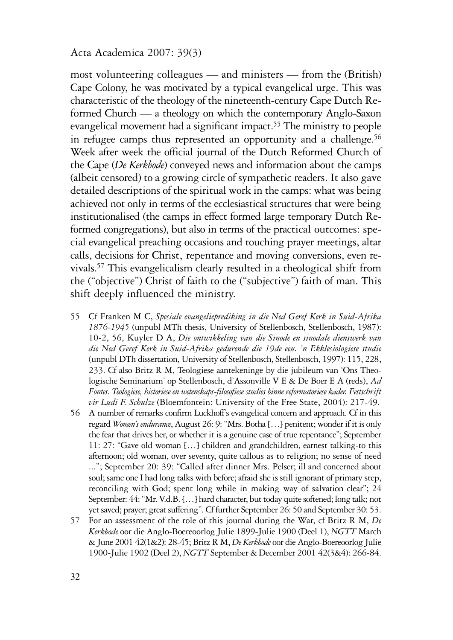most volunteering colleagues — and ministers — from the (British) Cape Colony, he was motivated by a typical evangelical urge. This was characteristic of the theology of the nineteenth-century Cape Dutch Reformed Church — a theology on which the contemporary Anglo-Saxon evangelical movement had a significant impact.55 The ministry to people in refugee camps thus represented an opportunity and a challenge.<sup>56</sup> Week after week the official journal of the Dutch Reformed Church of the Cape (*De Kerkbode*) conveyed news and information about the camps (albeit censored) to a growing circle of sympathetic readers. It also gave detailed descriptions of the spiritual work in the camps: what was being achieved not only in terms of the ecclesiastical structures that were being institutionalised (the camps in effect formed large temporary Dutch Reformed congregations), but also in terms of the practical outcomes: special evangelical preaching occasions and touching prayer meetings, altar calls, decisions for Christ, repentance and moving conversions, even revivals.57 This evangelicalism clearly resulted in a theological shift from the ("objective") Christ of faith to the ("subjective") faith of man. This shift deeply influenced the ministry.

- 55 Cf Franken M C, *Spesiale evangelieprediking in die Ned Geref Kerk in Suid-Afrika 1876-1945* (unpubl MTh thesis, University of Stellenbosch, Stellenbosch, 1987): 10-2, 56, Kuyler D A, *Die ontwikkeling van die Sinode en sinodale dienswerk van die Ned Geref Kerk in Suid-Afrika gedurende die 19de eeu. 'n Ekklesiologiese studie* (unpubl DTh dissertation, University of Stellenbosch, Stellenbosch, 1997): 115, 228, 233. Cf also Britz R M, Teologiese aantekeninge by die jubileum van 'Ons Theologische Seminarium' op Stellenbosch, d'Assonville V E & De Boer E A (reds), *Ad Fontes. Teologiese, historiese en wetenskaps-filosofiese studies binne reformatoriese kader. Festschrift vir Ludi F. Schulze* (Bloemfontein: University of the Free State, 2004): 217-49.
- 56 A number of remarks confirm Luckhoff's evangelical concern and approach. Cf in this regard *Women's endurance*, August 26: 9: "Mrs. Botha […] penitent; wonder if it is only the fear that drives her, or whether it is a genuine case of true repentance"; September 11: 27: "Gave old woman […] children and grandchildren, earnest talking-to this afternoon; old woman, over seventy, quite callous as to religion; no sense of need ..."; September 20: 39: "Called after dinner Mrs. Pelser; ill and concerned about soul; same one I had long talks with before; afraid she is still ignorant of primary step, reconciling with God; spent long while in making way of salvation clear"; 24 September: 44: "Mr. V.d.B. […] hard character, but today quite softened; long talk; not yet saved; prayer; great suffering". Cf further September 26: 50 and September 30: 53.
- 57 For an assessment of the role of this journal during the War, cf Britz R M, *De Kerkbode* oor die Anglo-Boereoorlog Julie 1899-Julie 1900 (Deel 1), *NGTT* March & June 2001 42(1&2): 28-45; Britz R M, *De Kerkbode* oor die Anglo-Boereoorlog Julie 1900-Julie 1902 (Deel 2), *NGTT* September & December 2001 42(3&4): 266-84.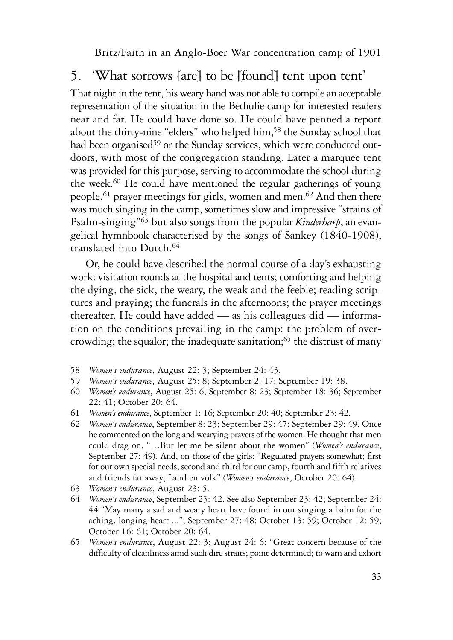# 5. 'What sorrows [are] to be [found] tent upon tent'

That night in the tent, his weary hand was not able to compile an acceptable representation of the situation in the Bethulie camp for interested readers near and far. He could have done so. He could have penned a report about the thirty-nine "elders" who helped him,<sup>58</sup> the Sunday school that had been organised<sup>59</sup> or the Sunday services, which were conducted outdoors, with most of the congregation standing. Later a marquee tent was provided for this purpose, serving to accommodate the school during the week.60 He could have mentioned the regular gatherings of young people,61 prayer meetings for girls, women and men.62 And then there was much singing in the camp, sometimes slow and impressive "strains of Psalm-singing"63 but also songs from the popular *Kinderharp*, an evangelical hymnbook characterised by the songs of Sankey (1840-1908), translated into Dutch.64

Or, he could have described the normal course of a day's exhausting work: visitation rounds at the hospital and tents; comforting and helping the dying, the sick, the weary, the weak and the feeble; reading scriptures and praying; the funerals in the afternoons; the prayer meetings thereafter. He could have added — as his colleagues did — information on the conditions prevailing in the camp: the problem of overcrowding; the squalor; the inadequate sanitation;<sup>65</sup> the distrust of many

- 58 *Women's endurance*, August 22: 3; September 24: 43.
- 59 *Women's endurance*, August 25: 8; September 2: 17; September 19: 38.
- 60 *Women's endurance*, August 25: 6; September 8: 23; September 18: 36; September 22: 41; October 20: 64.
- 61 *Women's endurance*, September 1: 16; September 20: 40; September 23: 42.
- 62 *Women's endurance*, September 8: 23; September 29: 47; September 29: 49. Once he commented on the long and wearying prayers of the women. He thought that men could drag on, "…But let me be silent about the women" (*Women's endurance*, September 27: 49). And, on those of the girls: "Regulated prayers somewhat; first for our own special needs, second and third for our camp, fourth and fifth relatives and friends far away; Land en volk" (*Women's endurance*, October 20: 64).
- 63 *Women's endurance*, August 23: 5.
- 64 *Women's endurance*, September 23: 42. See also September 23: 42; September 24: 44 "May many a sad and weary heart have found in our singing a balm for the aching, longing heart ..."; September 27: 48; October 13: 59; October 12: 59; October 16: 61; October 20: 64.
- 65 *Women's endurance*, August 22: 3; August 24: 6: "Great concern because of the difficulty of cleanliness amid such dire straits; point determined; to warn and exhort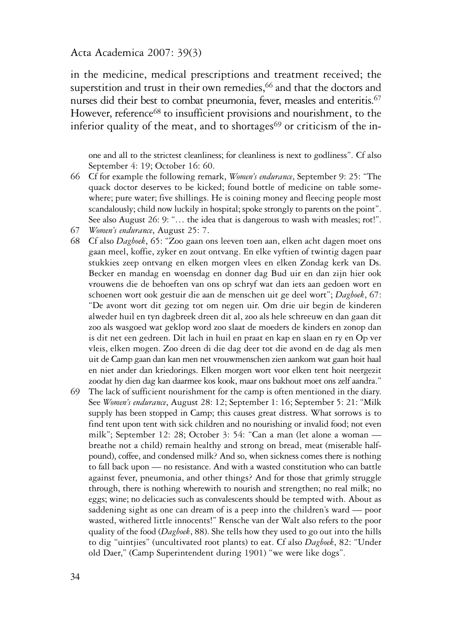in the medicine, medical prescriptions and treatment received; the superstition and trust in their own remedies,<sup>66</sup> and that the doctors and nurses did their best to combat pneumonia, fever, measles and enteritis.<sup>67</sup> However, reference<sup>68</sup> to insufficient provisions and nourishment, to the inferior quality of the meat, and to shortages<sup>69</sup> or criticism of the in-

one and all to the strictest cleanliness; for cleanliness is next to godliness". Cf also September 4: 19; October 16: 60.

- 66 Cf for example the following remark, *Women's endurance*, September 9: 25: "The quack doctor deserves to be kicked; found bottle of medicine on table somewhere; pure water; five shillings. He is coining money and fleecing people most scandalously; child now luckily in hospital; spoke strongly to parents on the point". See also August 26: 9: "... the idea that is dangerous to wash with measles; rot!".
- 67 *Women's endurance*, August 25: 7.
- 68 Cf also *Dagboek*, 65: "Zoo gaan ons leeven toen aan, elken acht dagen moet ons gaan meel, koffie, zyker en zout ontvang. En elke vyftien of twintig dagen paar stukkies zeep ontvang en elken morgen vlees en elken Zondag kerk van Ds. Becker en mandag en woensdag en donner dag Bud uir en dan zijn hier ook vrouwens die de behoeften van ons op schryf wat dan iets aan gedoen wort en schoenen wort ook gestuir die aan de menschen uit ge deel wort"; *Dagboek*, 67: "De avont wort dit gezing tot om negen uir. Om drie uir begin de kinderen alweder huil en tyn dagbreek dreen dit al, zoo als hele schreeuw en dan gaan dit zoo als wasgoed wat geklop word zoo slaat de moeders de kinders en zonop dan is dit net een gedreen. Dit lach in huil en praat en kap en slaan en ry en Op ver vleis, elken mogen. Zoo dreen di die dag deer tot die avond en de dag als men uit de Camp gaan dan kan men net vrouwmenschen zien aankom wat gaan hoit haal en niet ander dan kriedorings. Elken morgen wort voor elken tent hoit neergezit zoodat hy dien dag kan daarmee kos kook, maar ons bakhout moet ons zelf aandra."
- 69 The lack of sufficient nourishment for the camp is often mentioned in the diary. See *Women's endurance*, August 28: 12; September 1: 16; September 5: 21: "Milk supply has been stopped in Camp; this causes great distress. What sorrows is to find tent upon tent with sick children and no nourishing or invalid food; not even milk"; September 12: 28; October 3: 54: "Can a man (let alone a woman breathe not a child) remain healthy and strong on bread, meat (miserable halfpound), coffee, and condensed milk? And so, when sickness comes there is nothing to fall back upon — no resistance. And with a wasted constitution who can battle against fever, pneumonia, and other things? And for those that grimly struggle through, there is nothing wherewith to nourish and strengthen; no real milk; no eggs; wine; no delicacies such as convalescents should be tempted with. About as saddening sight as one can dream of is a peep into the children's ward — poor wasted, withered little innocents!" Rensche van der Walt also refers to the poor quality of the food (*Dagboek*, 88). She tells how they used to go out into the hills to dig "uintjies" (uncultivated root plants) to eat. Cf also *Dagboek*, 82: "Under old Daer," (Camp Superintendent during 1901) "we were like dogs".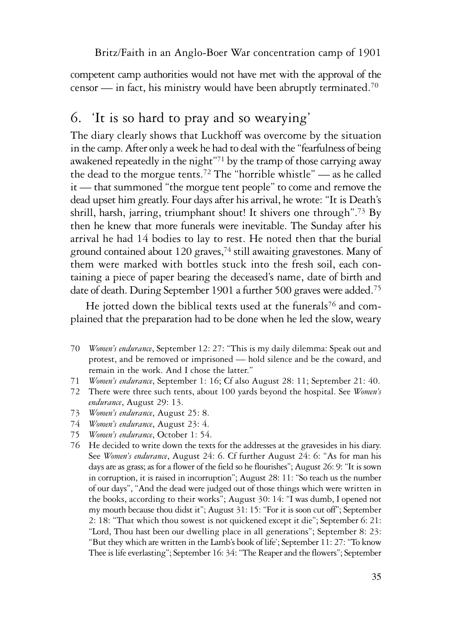competent camp authorities would not have met with the approval of the censor — in fact, his ministry would have been abruptly terminated.<sup>70</sup>

## 6. 'It is so hard to pray and so wearying'

The diary clearly shows that Luckhoff was overcome by the situation in the camp. After only a week he had to deal with the "fearfulness of being awakened repeatedly in the night"71 by the tramp of those carrying away the dead to the morgue tents.72 The "horrible whistle" — as he called it — that summoned "the morgue tent people" to come and remove the dead upset him greatly. Four days after his arrival, he wrote: "It is Death's shrill, harsh, jarring, triumphant shout! It shivers one through".73 By then he knew that more funerals were inevitable. The Sunday after his arrival he had 14 bodies to lay to rest. He noted then that the burial ground contained about 120 graves,<sup>74</sup> still awaiting gravestones. Many of them were marked with bottles stuck into the fresh soil, each containing a piece of paper bearing the deceased's name, date of birth and date of death. During September 1901 a further 500 graves were added.<sup>75</sup>

He jotted down the biblical texts used at the funerals<sup>76</sup> and complained that the preparation had to be done when he led the slow, weary

- 70 *Women's endurance*, September 12: 27: "This is my daily dilemma: Speak out and protest, and be removed or imprisoned — hold silence and be the coward, and remain in the work. And I chose the latter."
- 71 *Women's endurance*, September 1: 16; Cf also August 28: 11; September 21: 40.
- 72 There were three such tents, about 100 yards beyond the hospital. See *Women's endurance*, August 29: 13.
- 73 *Women's endurance*, August 25: 8.
- 74 *Women's endurance*, August 23: 4.
- 75 *Women's endurance*, October 1: 54.
- 76 He decided to write down the texts for the addresses at the gravesides in his diary. See *Women's endurance*, August 24: 6. Cf further August 24: 6: "As for man his days are as grass; as for a flower of the field so he flourishes"; August 26: 9: "It is sown in corruption, it is raised in incorruption"; August 28: 11: "So teach us the number of our days", "And the dead were judged out of those things which were written in the books, according to their works"; August 30: 14: "I was dumb, I opened not my mouth because thou didst it"; August 31: 15: "For it is soon cut off"; September 2: 18: "That which thou sowest is not quickened except it die"; September 6: 21: "Lord, Thou hast been our dwelling place in all generations"; September 8: 23: "But they which are written in the Lamb's book of life'; September 11: 27: "To know Thee is life everlasting"; September 16: 34: "The Reaper and the flowers"; September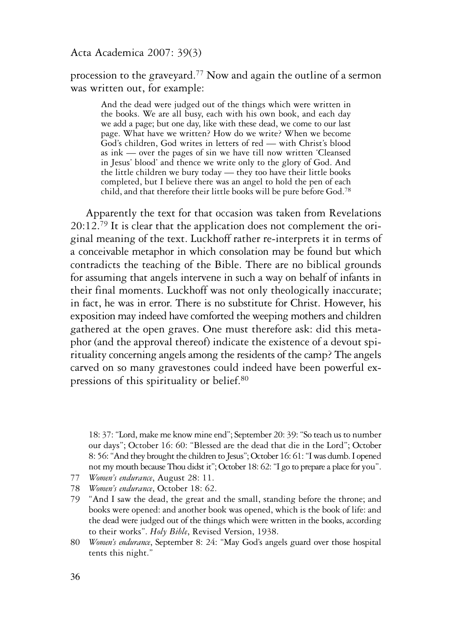procession to the graveyard.77 Now and again the outline of a sermon was written out, for example:

And the dead were judged out of the things which were written in the books. We are all busy, each with his own book, and each day we add a page; but one day, like with these dead, we come to our last page. What have we written? How do we write? When we become God's children, God writes in letters of red — with Christ's blood as ink — over the pages of sin we have till now written 'Cleansed in Jesus' blood' and thence we write only to the glory of God. And the little children we bury today — they too have their little books completed, but I believe there was an angel to hold the pen of each child, and that therefore their little books will be pure before God.78

Apparently the text for that occasion was taken from Revelations  $20:12.79$  It is clear that the application does not complement the original meaning of the text. Luckhoff rather re-interprets it in terms of a conceivable metaphor in which consolation may be found but which contradicts the teaching of the Bible. There are no biblical grounds for assuming that angels intervene in such a way on behalf of infants in their final moments. Luckhoff was not only theologically inaccurate; in fact, he was in error. There is no substitute for Christ. However, his exposition may indeed have comforted the weeping mothers and children gathered at the open graves. One must therefore ask: did this metaphor (and the approval thereof) indicate the existence of a devout spirituality concerning angels among the residents of the camp? The angels carved on so many gravestones could indeed have been powerful expressions of this spirituality or belief.80

18: 37: "Lord, make me know mine end"; September 20: 39: "So teach us to number our days"; October 16: 60: "Blessed are the dead that die in the Lord"; October 8: 56: "And they brought the children to Jesus"; October 16: 61: "I was dumb. I opened not my mouth because Thou didst it"; October 18: 62: "I go to prepare a place for you".

- 78 *Women's endurance*, October 18: 62.
- 79 "And I saw the dead, the great and the small, standing before the throne; and books were opened: and another book was opened, which is the book of life: and the dead were judged out of the things which were written in the books, according to their works". *Holy Bible*, Revised Version, 1938.
- 80 *Women's endurance*, September 8: 24: "May God's angels guard over those hospital tents this night."

<sup>77</sup> *Women's endurance*, August 28: 11.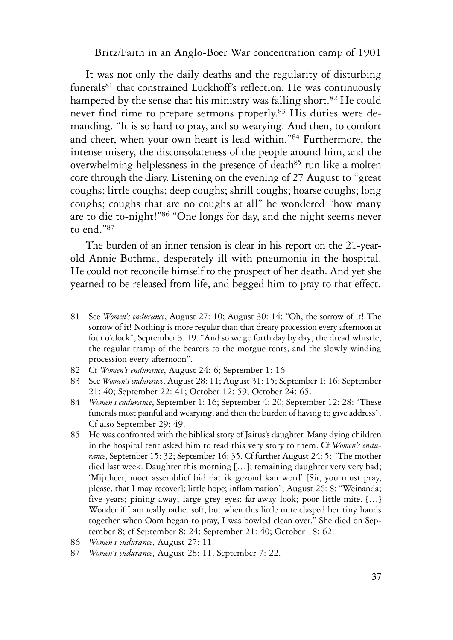It was not only the daily deaths and the regularity of disturbing funerals<sup>81</sup> that constrained Luckhoff's reflection. He was continuously hampered by the sense that his ministry was falling short.<sup>82</sup> He could never find time to prepare sermons properly.83 His duties were demanding. "It is so hard to pray, and so wearying. And then, to comfort and cheer, when your own heart is lead within."84 Furthermore, the intense misery, the disconsolateness of the people around him, and the overwhelming helplessness in the presence of death<sup>85</sup> run like a molten core through the diary. Listening on the evening of 27 August to "great coughs; little coughs; deep coughs; shrill coughs; hoarse coughs; long coughs; coughs that are no coughs at all" he wondered "how many are to die to-night!"86 "One longs for day, and the night seems never to end."87

The burden of an inner tension is clear in his report on the 21-yearold Annie Bothma, desperately ill with pneumonia in the hospital. He could not reconcile himself to the prospect of her death. And yet she yearned to be released from life, and begged him to pray to that effect.

- 81 See *Women's endurance*, August 27: 10; August 30: 14: "Oh, the sorrow of it! The sorrow of it! Nothing is more regular than that dreary procession every afternoon at four o'clock"; September 3: 19: "And so we go forth day by day; the dread whistle; the regular tramp of the bearers to the morgue tents, and the slowly winding procession every afternoon".
- 82 Cf *Women's endurance*, August 24: 6; September 1: 16.
- 83 See *Women's endurance*, August 28: 11; August 31: 15; September 1: 16; September 21: 40; September 22: 41; October 12: 59; October 24: 65.
- 84 *Women's endurance*, September 1: 16; September 4: 20; September 12: 28: "These funerals most painful and wearying, and then the burden of having to give address". Cf also September 29: 49.
- 85 He was confronted with the biblical story of Jairus's daughter. Many dying children in the hospital tent asked him to read this very story to them. Cf *Women's endurance*, September 15: 32; September 16: 35. Cf further August 24: 5: "The mother died last week. Daughter this morning […]; remaining daughter very very bad; 'Mijnheer, moet assemblief bid dat ik gezond kan word' [Sir, you must pray, please, that I may recover]; little hope; inflammation"; August 26: 8: "Weinanda; five years; pining away; large grey eyes; far-away look; poor little mite. […] Wonder if I am really rather soft; but when this little mite clasped her tiny hands together when Oom began to pray, I was bowled clean over." She died on September 8; cf September 8: 24; September 21: 40; October 18: 62.
- 86 *Women's endurance*, August 27: 11.
- 87 *Women's endurance*, August 28: 11; September 7: 22.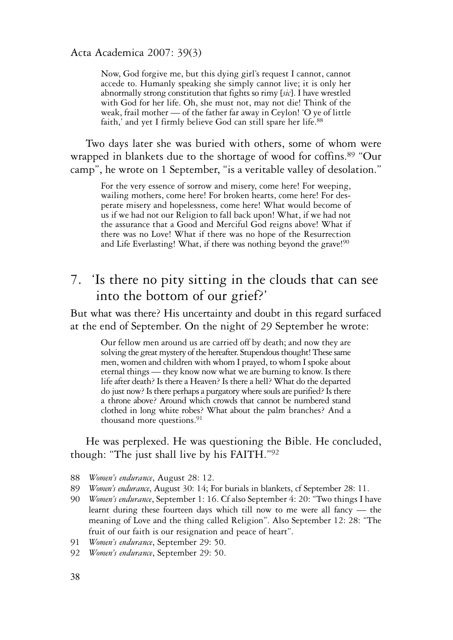Now, God forgive me, but this dying girl's request I cannot, cannot accede to. Humanly speaking she simply cannot live; it is only her abnormally strong constitution that fights so rimy [*sic*]. I have wrestled with God for her life. Oh, she must not, may not die! Think of the weak, frail mother — of the father far away in Ceylon! 'O ye of little faith,' and yet I firmly believe God can still spare her life.<sup>88</sup>

Two days later she was buried with others, some of whom were wrapped in blankets due to the shortage of wood for coffins.<sup>89</sup> "Our camp", he wrote on 1 September, "is a veritable valley of desolation."

For the very essence of sorrow and misery, come here! For weeping, wailing mothers, come here! For broken hearts, come here! For desperate misery and hopelessness, come here! What would become of us if we had not our Religion to fall back upon! What, if we had not the assurance that a Good and Merciful God reigns above! What if there was no Love! What if there was no hope of the Resurrection and Life Everlasting! What, if there was nothing beyond the grave!<sup>90</sup>

## 7. 'Is there no pity sitting in the clouds that can see into the bottom of our grief?'

But what was there? His uncertainty and doubt in this regard surfaced at the end of September. On the night of 29 September he wrote:

Our fellow men around us are carried off by death; and now they are solving the great mystery of the hereafter. Stupendous thought! These same men, women and children with whom I prayed, to whom I spoke about eternal things — they know now what we are burning to know. Is there life after death? Is there a Heaven? Is there a hell? What do the departed do just now? Is there perhaps a purgatory where souls are purified? Is there a throne above? Around which crowds that cannot be numbered stand clothed in long white robes? What about the palm branches? And a thousand more questions.<sup>91</sup>

#### He was perplexed. He was questioning the Bible. He concluded, though: "The just shall live by his FAITH."92

- 88 *Women's endurance*, August 28: 12.
- 89 *Women's endurance*, August 30: 14; For burials in blankets, cf September 28: 11.
- 90 *Women's endurance*, September 1: 16. Cf also September 4: 20: "Two things I have learnt during these fourteen days which till now to me were all fancy — the meaning of Love and the thing called Religion". Also September 12: 28: "The fruit of our faith is our resignation and peace of heart".
- 91 *Women's endurance*, September 29: 50.
- 92 *Women's endurance*, September 29: 50.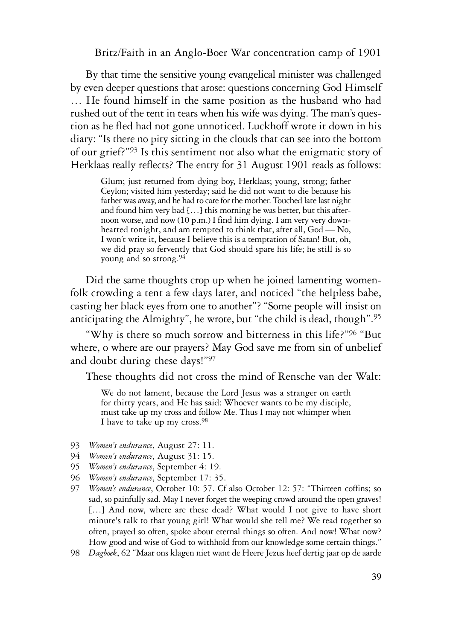By that time the sensitive young evangelical minister was challenged by even deeper questions that arose: questions concerning God Himself … He found himself in the same position as the husband who had rushed out of the tent in tears when his wife was dying. The man's question as he fled had not gone unnoticed. Luckhoff wrote it down in his diary: "Is there no pity sitting in the clouds that can see into the bottom of our grief?"93 Is this sentiment not also what the enigmatic story of Herklaas really reflects? The entry for 31 August 1901 reads as follows:

Glum; just returned from dying boy, Herklaas; young, strong; father Ceylon; visited him yesterday; said he did not want to die because his father was away, and he had to care for the mother. Touched late last night and found him very bad […] this morning he was better, but this afternoon worse, and now (10 p.m.) I find him dying. I am very very downhearted tonight, and am tempted to think that, after all, God - No, I won't write it, because I believe this is a temptation of Satan! But, oh, we did pray so fervently that God should spare his life; he still is so young and so strong.94

Did the same thoughts crop up when he joined lamenting womenfolk crowding a tent a few days later, and noticed "the helpless babe, casting her black eyes from one to another"? "Some people will insist on anticipating the Almighty", he wrote, but "the child is dead, though".95

"Why is there so much sorrow and bitterness in this life?"96 "But where, o where are our prayers? May God save me from sin of unbelief and doubt during these days!"97

These thoughts did not cross the mind of Rensche van der Walt:

We do not lament, because the Lord Jesus was a stranger on earth for thirty years, and He has said: Whoever wants to be my disciple, must take up my cross and follow Me. Thus I may not whimper when I have to take up my cross.<sup>98</sup>

- 93 *Women's endurance*, August 27: 11.
- 94 *Women's endurance*, August 31: 15.
- 95 *Women's endurance*, September 4: 19.
- 96 *Women's endurance*, September 17: 35.
- 97 *Women's endurance*, October 10: 57. Cf also October 12: 57: "Thirteen coffins; so sad, so painfully sad. May I never forget the weeping crowd around the open graves! [...] And now, where are these dead? What would I not give to have short minute's talk to that young girl! What would she tell me? We read together so often, prayed so often, spoke about eternal things so often. And now! What now? How good and wise of God to withhold from our knowledge some certain things."
- 98 *Dagboek*, 62 "Maar ons klagen niet want de Heere Jezus heef dertig jaar op de aarde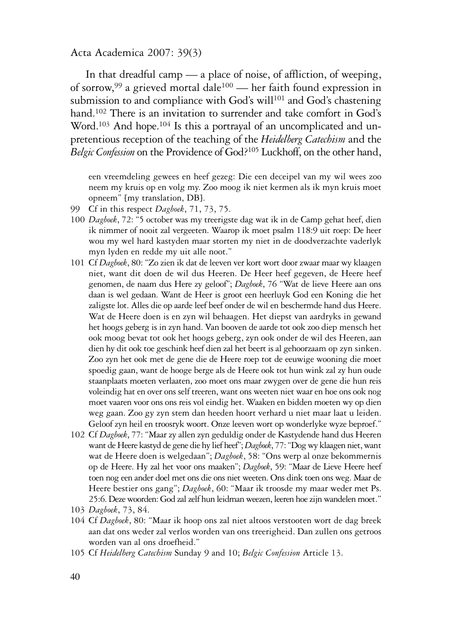In that dreadful camp — a place of noise, of affliction, of weeping, of sorrow,99 a grieved mortal dale100 — her faith found expression in submission to and compliance with God's will<sup>101</sup> and God's chastening hand.<sup>102</sup> There is an invitation to surrender and take comfort in God's Word.<sup>103</sup> And hope.<sup>104</sup> Is this a portrayal of an uncomplicated and unpretentious reception of the teaching of the *Heidelberg Catechism* and the *Belgic Confession* on the Providence of God?105 Luckhoff, on the other hand,

een vreemdeling gewees en heef gezeg: Die een deceipel van my wil wees zoo neem my kruis op en volg my. Zoo moog ik niet kermen als ik myn kruis moet opneem" [my translation, DB].

- 99 Cf in this respect *Dagboek*, 71, 73, 75.
- 100 *Dagboek*, 72: "5 october was my treerigste dag wat ik in de Camp gehat heef, dien ik nimmer of nooit zal vergeeten. Waarop ik moet psalm 118:9 uit roep: De heer wou my wel hard kastyden maar storten my niet in de doodverzachte vaderlyk myn lyden en redde my uit alle noot."
- 101 Cf *Dagboek*, 80: "Zo zien ik dat de leeven ver kort wort door zwaar maar wy klaagen niet, want dit doen de wil dus Heeren. De Heer heef gegeven, de Heere heef genomen, de naam dus Here zy geloof"; *Dagboek*, 76 "Wat de lieve Heere aan ons daan is wel gedaan. Want de Heer is groot een heerluyk God een Koning die het zaligste lot. Alles die op aarde leef beef onder de wil en beschermde hand dus Heere. Wat de Heere doen is en zyn wil behaagen. Het diepst van aardryks in gewand het hoogs geberg is in zyn hand. Van booven de aarde tot ook zoo diep mensch het ook moog bevat tot ook het hoogs geberg, zyn ook onder de wil des Heeren, aan dien hy dit ook toe geschink heef dien zal het beert is al gehoorzaam op zyn sinken. Zoo zyn het ook met de gene die de Heere roep tot de eeuwige wooning die moet spoedig gaan, want de hooge berge als de Heere ook tot hun wink zal zy hun oude staanplaats moeten verlaaten, zoo moet ons maar zwygen over de gene die hun reis voleindig hat en over ons self treeren, want ons weeten niet waar en hoe ons ook nog moet vaaren voor ons ons reis vol eindig het. Waaken en bidden moeten wy op dien weg gaan. Zoo gy zyn stem dan heeden hoort verhard u niet maar laat u leiden. Geloof zyn heil en troosryk woort. Onze leeven wort op wonderlyke wyze beproef."
- 102 Cf *Dagboek*, 77: "Maar zy allen zyn geduldig onder de Kastydende hand dus Heeren want de Heere kastyd de gene die hy lief heef"; *Dagboek*, 77: "Dog wy klaagen niet, want wat de Heere doen is welgedaan"; *Dagboek*, 58: "Ons werp al onze bekommernis op de Heere. Hy zal het voor ons maaken"; *Dagboek*, 59: "Maar de Lieve Heere heef toen nog een ander doel met ons die ons niet weeten. Ons dink toen ons weg. Maar de Heere bestier ons gang"; *Dagboek*, 60: "Maar ik troosde my maar weder met Ps. 25:6. Deze woorden: God zal zelf hun leidman weezen, leeren hoe zijn wandelen moet."
- 103 *Dagboek*, 73, 84.
- 104 Cf *Dagboek*, 80: "Maar ik hoop ons zal niet altoos verstooten wort de dag breek aan dat ons weder zal verlos worden van ons treerigheid. Dan zullen ons getroos worden van al ons droefheid."
- 105 Cf *Heidelberg Catechism* Sunday 9 and 10; *Belgic Confession* Article 13.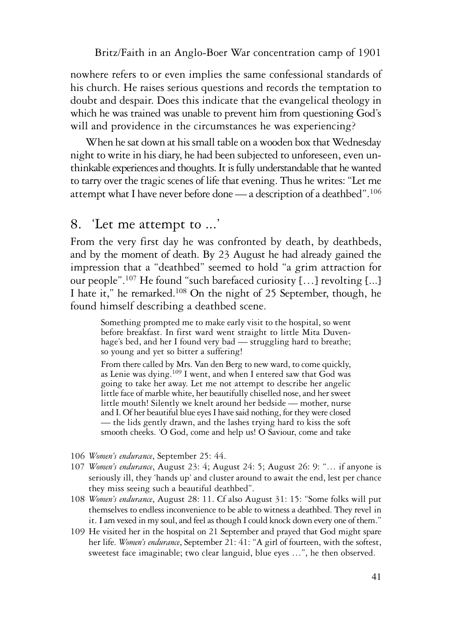nowhere refers to or even implies the same confessional standards of his church. He raises serious questions and records the temptation to doubt and despair. Does this indicate that the evangelical theology in which he was trained was unable to prevent him from questioning God's will and providence in the circumstances he was experiencing?

When he sat down at his small table on a wooden box that Wednesday night to write in his diary, he had been subjected to unforeseen, even unthinkable experiences and thoughts. It is fully understandable that he wanted to tarry over the tragic scenes of life that evening. Thus he writes: "Let me attempt what I have never before done — a description of a deathbed".106

## 8. 'Let me attempt to ...'

From the very first day he was confronted by death, by deathbeds, and by the moment of death. By 23 August he had already gained the impression that a "deathbed" seemed to hold "a grim attraction for our people".107 He found "such barefaced curiosity […] revolting [...] I hate it," he remarked.108 On the night of 25 September, though, he found himself describing a deathbed scene.

Something prompted me to make early visit to the hospital, so went before breakfast. In first ward went straight to little Mita Duvenhage's bed, and her I found very bad — struggling hard to breathe; so young and yet so bitter a suffering!

From there called by Mrs. Van den Berg to new ward, to come quickly, as Lenie was dying.109 I went, and when I entered saw that God was going to take her away. Let me not attempt to describe her angelic little face of marble white, her beautifully chiselled nose, and her sweet little mouth! Silently we knelt around her bedside — mother, nurse and I. Of her beautiful blue eyes I have said nothing, for they were closed — the lids gently drawn, and the lashes trying hard to kiss the soft smooth cheeks. 'O God, come and help us! O Saviour, come and take

- 106 *Women's endurance*, September 25: 44.
- 107 *Women's endurance*, August 23: 4; August 24: 5; August 26: 9: "… if anyone is seriously ill, they 'hands up' and cluster around to await the end, lest per chance they miss seeing such a beautiful deathbed".
- 108 *Women's endurance*, August 28: 11. Cf also August 31: 15: "Some folks will put themselves to endless inconvenience to be able to witness a deathbed. They revel in it. I am vexed in my soul, and feel as though I could knock down every one of them."
- 109 He visited her in the hospital on 21 September and prayed that God might spare her life. *Women's endurance*, September 21: 41: "A girl of fourteen, with the softest, sweetest face imaginable; two clear languid, blue eyes …", he then observed.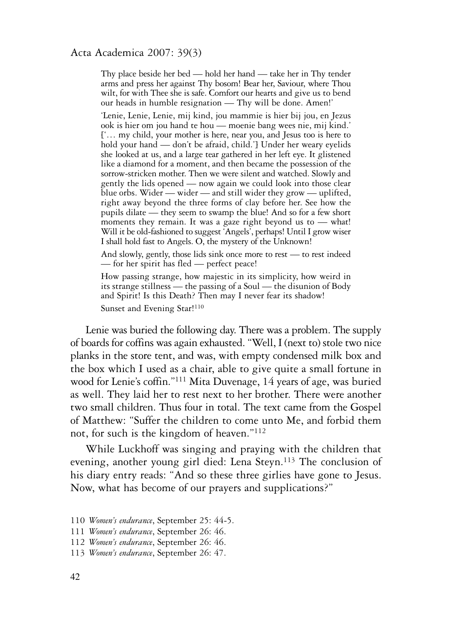Thy place beside her bed — hold her hand — take her in Thy tender arms and press her against Thy bosom! Bear her, Saviour, where Thou wilt, for with Thee she is safe. Comfort our hearts and give us to bend our heads in humble resignation — Thy will be done. Amen!'

'Lenie, Lenie, Lenie, mij kind, jou mammie is hier bij jou, en Jezus ook is hier om jou hand te hou — moenie bang wees nie, mij kind.' ['… my child, your mother is here, near you, and Jesus too is here to hold your hand — don't be afraid, child.'] Under her weary eyelids she looked at us, and a large tear gathered in her left eye. It glistened like a diamond for a moment, and then became the possession of the sorrow-stricken mother. Then we were silent and watched. Slowly and gently the lids opened — now again we could look into those clear blue orbs. Wider — wider — and still wider they grow — uplifted, right away beyond the three forms of clay before her. See how the pupils dilate — they seem to swamp the blue! And so for a few short moments they remain. It was a gaze right beyond us to — what! Will it be old-fashioned to suggest 'Angels', perhaps! Until I grow wiser I shall hold fast to Angels. O, the mystery of the Unknown!

And slowly, gently, those lids sink once more to rest — to rest indeed — for her spirit has fled — perfect peace!

How passing strange, how majestic in its simplicity, how weird in its strange stillness — the passing of a Soul — the disunion of Body and Spirit! Is this Death? Then may I never fear its shadow! Sunset and Evening Star!<sup>110</sup>

Lenie was buried the following day. There was a problem. The supply of boards for coffins was again exhausted. "Well, I (next to) stole two nice planks in the store tent, and was, with empty condensed milk box and the box which I used as a chair, able to give quite a small fortune in wood for Lenie's coffin."111 Mita Duvenage, 14 years of age, was buried as well. They laid her to rest next to her brother. There were another two small children. Thus four in total. The text came from the Gospel of Matthew: "Suffer the children to come unto Me, and forbid them not, for such is the kingdom of heaven."112

While Luckhoff was singing and praying with the children that evening, another young girl died: Lena Steyn.113 The conclusion of his diary entry reads: "And so these three girlies have gone to Jesus. Now, what has become of our prayers and supplications?"

<sup>110</sup> *Women's endurance*, September 25: 44-5.

<sup>111</sup> *Women's endurance*, September 26: 46.

<sup>112</sup> *Women's endurance*, September 26: 46.

<sup>113</sup> *Women's endurance*, September 26: 47.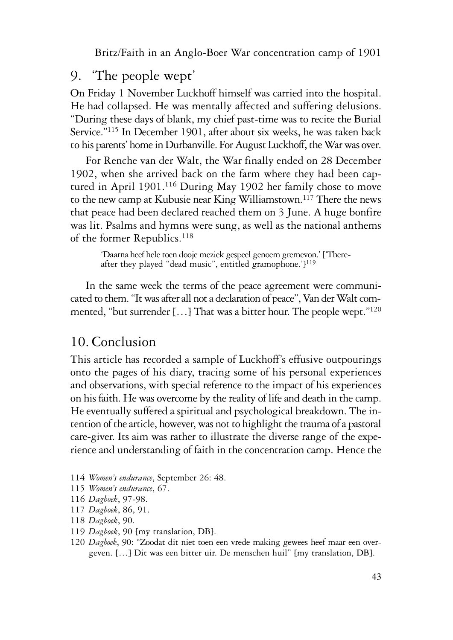### 9. 'The people wept'

On Friday 1 November Luckhoff himself was carried into the hospital. He had collapsed. He was mentally affected and suffering delusions. "During these days of blank, my chief past-time was to recite the Burial Service."115 In December 1901, after about six weeks, he was taken back to his parents' home in Durbanville. For August Luckhoff, the War was over.

For Renche van der Walt, the War finally ended on 28 December 1902, when she arrived back on the farm where they had been captured in April 1901.116 During May 1902 her family chose to move to the new camp at Kubusie near King Williamstown.<sup>117</sup> There the news that peace had been declared reached them on 3 June. A huge bonfire was lit. Psalms and hymns were sung, as well as the national anthems of the former Republics.<sup>118</sup>

'Daarna heef hele toen dooje meziek gespeel genoem gremevon.' ['Thereafter they played "dead music", entitled gramophone.']<sup>119</sup>

In the same week the terms of the peace agreement were communicated to them. "It was after all not a declaration of peace", Van der Walt commented, "but surrender [...] That was a bitter hour. The people wept."<sup>120</sup>

## 10. Conclusion

This article has recorded a sample of Luckhoff's effusive outpourings onto the pages of his diary, tracing some of his personal experiences and observations, with special reference to the impact of his experiences on his faith. He was overcome by the reality of life and death in the camp. He eventually suffered a spiritual and psychological breakdown. The intention of the article, however, was not to highlight the trauma of a pastoral care-giver. Its aim was rather to illustrate the diverse range of the experience and understanding of faith in the concentration camp. Hence the

- 114 *Women's endurance*, September 26: 48.
- 115 *Women's endurance*, 67.
- 116 *Dagboek*, 97-98.
- 117 *Dagboek*, 86, 91.
- 118 *Dagboek*, 90.
- 119 *Dagboek*, 90 [my translation, DB].
- 120 *Dagboek*, 90: "Zoodat dit niet toen een vrede making gewees heef maar een overgeven. […] Dit was een bitter uir. De menschen huil" [my translation, DB].